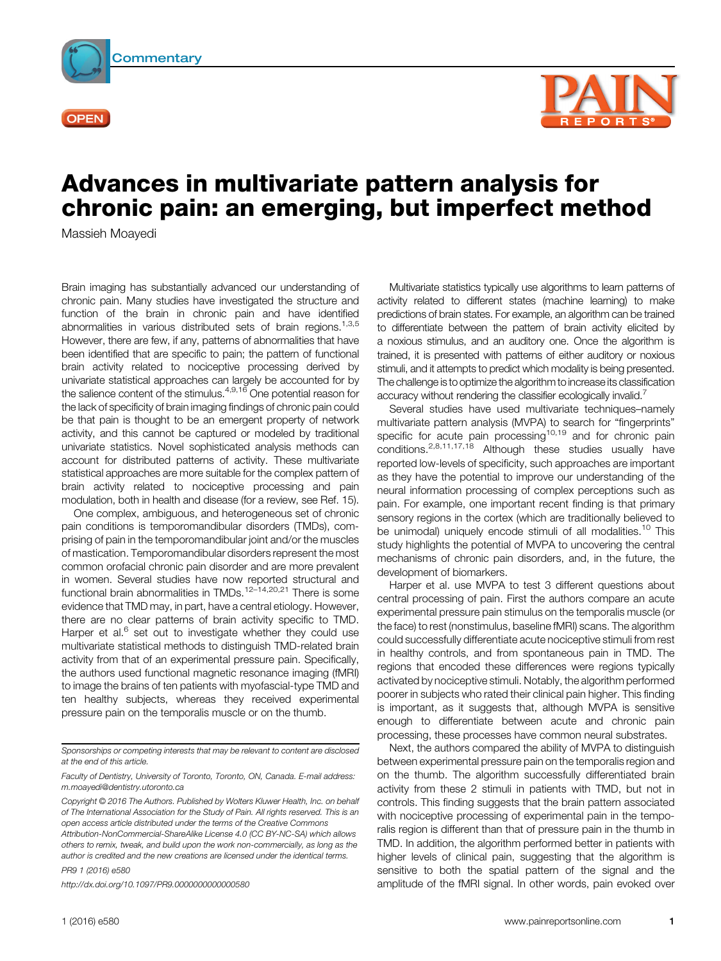

**OPEN** 



## Advances in multivariate pattern analysis for chronic pain: an emerging, but imperfect method

Massieh Moayedi

Brain imaging has substantially advanced our understanding of chronic pain. Many studies have investigated the structure and function of the brain in chronic pain and have identified abnormalities in various distributed sets of brain regions.<sup>1,3,5</sup> However, there are few, if any, patterns of abnormalities that have been identified that are specific to pain; the pattern of functional brain activity related to nociceptive processing derived by univariate statistical approaches can largely be accounted for by the salience content of the stimulus.<sup>4,9,16</sup> One potential reason for the lack of specificity of brain imaging findings of chronic pain could be that pain is thought to be an emergent property of network activity, and this cannot be captured or modeled by traditional univariate statistics. Novel sophisticated analysis methods can account for distributed patterns of activity. These multivariate statistical approaches are more suitable for the complex pattern of brain activity related to nociceptive processing and pain modulation, both in health and disease (for a review, see Ref. 15).

One complex, ambiguous, and heterogeneous set of chronic pain conditions is temporomandibular disorders (TMDs), comprising of pain in the temporomandibular joint and/or the muscles of mastication. Temporomandibular disorders represent the most common orofacial chronic pain disorder and are more prevalent in women. Several studies have now reported structural and functional brain abnormalities in TMDs.<sup>12–14,20,21</sup> There is some evidence that TMD may, in part, have a central etiology. However, there are no clear patterns of brain activity specific to TMD. Harper et al. $<sup>6</sup>$  set out to investigate whether they could use</sup> multivariate statistical methods to distinguish TMD-related brain activity from that of an experimental pressure pain. Specifically, the authors used functional magnetic resonance imaging (fMRI) to image the brains of ten patients with myofascial-type TMD and ten healthy subjects, whereas they received experimental pressure pain on the temporalis muscle or on the thumb.

Sponsorships or competing interests that may be relevant to content are disclosed at the end of this article.

PR9 1 (2016) e580

<http://dx.doi.org/10.1097/PR9.0000000000000580>

Multivariate statistics typically use algorithms to learn patterns of activity related to different states (machine learning) to make predictions of brain states. For example, an algorithm can be trained to differentiate between the pattern of brain activity elicited by a noxious stimulus, and an auditory one. Once the algorithm is trained, it is presented with patterns of either auditory or noxious stimuli, and it attempts to predict which modality is being presented. The challenge is to optimize the algorithm to increase its classification accuracy without rendering the classifier ecologically invalid.<sup>7</sup>

Several studies have used multivariate techniques–namely multivariate pattern analysis (MVPA) to search for "fingerprints" specific for acute pain processing<sup>10,19</sup> and for chronic pain conditions.2,8,11,17,18 Although these studies usually have reported low-levels of specificity, such approaches are important as they have the potential to improve our understanding of the neural information processing of complex perceptions such as pain. For example, one important recent finding is that primary sensory regions in the cortex (which are traditionally believed to be unimodal) uniquely encode stimuli of all modalities.<sup>10</sup> This study highlights the potential of MVPA to uncovering the central mechanisms of chronic pain disorders, and, in the future, the development of biomarkers.

Harper et al. use MVPA to test 3 different questions about central processing of pain. First the authors compare an acute experimental pressure pain stimulus on the temporalis muscle (or the face) to rest (nonstimulus, baseline fMRI) scans. The algorithm could successfully differentiate acute nociceptive stimuli from rest in healthy controls, and from spontaneous pain in TMD. The regions that encoded these differences were regions typically activated by nociceptive stimuli. Notably, the algorithm performed poorer in subjects who rated their clinical pain higher. This finding is important, as it suggests that, although MVPA is sensitive enough to differentiate between acute and chronic pain processing, these processes have common neural substrates.

Next, the authors compared the ability of MVPA to distinguish between experimental pressure pain on the temporalis region and on the thumb. The algorithm successfully differentiated brain activity from these 2 stimuli in patients with TMD, but not in controls. This finding suggests that the brain pattern associated with nociceptive processing of experimental pain in the temporalis region is different than that of pressure pain in the thumb in TMD. In addition, the algorithm performed better in patients with higher levels of clinical pain, suggesting that the algorithm is sensitive to both the spatial pattern of the signal and the amplitude of the fMRI signal. In other words, pain evoked over

Faculty of Dentistry, University of Toronto, Toronto, ON, Canada. E-mail address: [m.moayedi@dentistry.utoronto.ca](mailto:m.<?show $132#?>moayedi@dentistry.utoronto.ca)

Copyright © 2016 The Authors. Published by Wolters Kluwer Health, Inc. on behalf of The International Association for the Study of Pain. All rights reserved. This is an open access article distributed under the terms of the Creative Commons Attribution-NonCommercial-ShareAlike License 4.0 (CC BY-NC-SA) which allows others to remix, tweak, and build upon the work non-commercially, as long as the author is credited and the new creations are licensed under the identical terms.